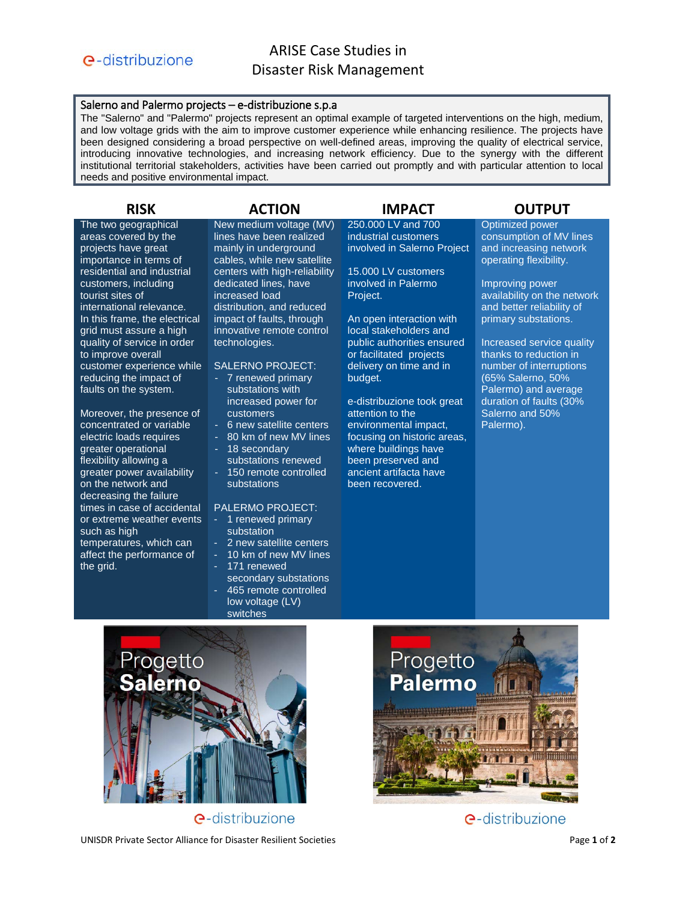### Salerno and Palermo projects – e-distribuzione s.p.a

The "Salerno" and "Palermo" projects represent an optimal example of targeted interventions on the high, medium, and low voltage grids with the aim to improve customer experience while enhancing resilience. The projects have been designed considering a broad perspective on well-defined areas, improving the quality of electrical service, introducing innovative technologies, and increasing network efficiency. Due to the synergy with the different institutional territorial stakeholders, activities have been carried out promptly and with particular attention to local needs and positive environmental impact.

The two geographical areas covered by the projects have great importance in terms of residential and industrial customers, including tourist sites of international relevance. In this frame, the electrical grid must assure a high quality of service in order to improve overall customer experience while reducing the impact of faults on the system.

Moreover, the presence of concentrated or variable electric loads requires greater operational flexibility allowing a greater power availability on the network and decreasing the failure times in case of accidental or extreme weather events such as high temperatures, which can affect the performance of the grid.

New medium voltage (MV) lines have been realized mainly in underground cables, while new satellite centers with high-reliability dedicated lines, have increased load distribution, and reduced impact of faults, through innovative remote control technologies.

### SALERNO PROJECT:

- 7 renewed primary substations with increased power for customers
- 6 new satellite centers
- 80 km of new MV lines
- 18 secondary substations renewed
- 150 remote controlled substations

### PALERMO PROJECT:

- 1 renewed primary substation
- 2 new satellite centers
- 10 km of new MV lines
- 171 renewed secondary substations
- 465 remote controlled low voltage (LV)
- switches

## **RISK ACTION IMPACT OUTPUT**

250.000 LV and 700 industrial customers involved in Salerno Project

15.000 LV customers involved in Palermo Project.

An open interaction with local stakeholders and public authorities ensured or facilitated projects delivery on time and in budget.

e-distribuzione took great attention to the environmental impact, focusing on historic areas, where buildings have been preserved and ancient artifacta have been recovered.

Optimized power consumption of MV lines and increasing network operating flexibility.

Improving power availability on the network and better reliability of primary substations.

Increased service quality thanks to reduction in number of interruptions (65% Salerno, 50% Palermo) and average duration of faults (30% Salerno and 50% Palermo).



**e**-distribuzione

UNISDR Private Sector Alliance for Disaster Resilient Societies **Page 1** of 2



e-distribuzione